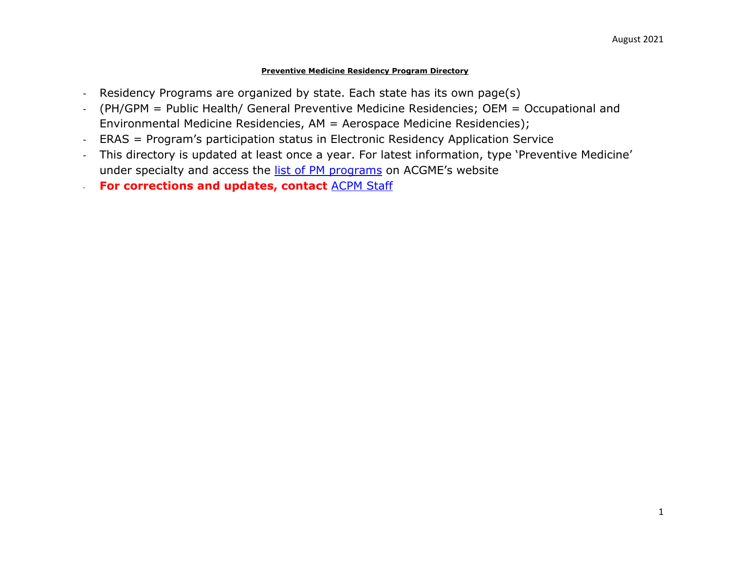## **Preventive Medicine Residency Program Directory**

- Residency Programs are organized by state. Each state has its own page(s)
- (PH/GPM = Public Health/ General Preventive Medicine Residencies; OEM = Occupational and Environmental Medicine Residencies, AM = Aerospace Medicine Residencies);
- ERAS = Program's participation status in Electronic Residency Application Service
- This directory is updated at least once a year. For latest information, type 'Preventive Medicine' under specialty and access the [list of PM programs](https://apps.acgme.org/ads/Public/Programs/Search?stateId=&specialtyId=84&specialtyCategoryTypeId=&numCode=&city=) on ACGME's website
- **For corrections and updates, contact [ACPM Staff](mailto:abalan@acpm.org)**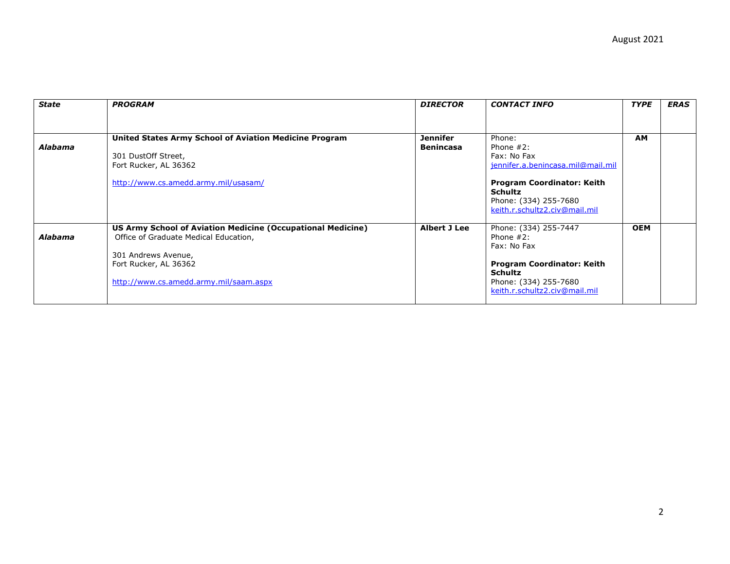| <b>State</b>   | <b>PROGRAM</b>                                                                                                                                                                                 | <b>DIRECTOR</b>              | <b>CONTACT INFO</b>                                                                                                                                                                         | <b>TYPE</b> | <b>ERAS</b> |
|----------------|------------------------------------------------------------------------------------------------------------------------------------------------------------------------------------------------|------------------------------|---------------------------------------------------------------------------------------------------------------------------------------------------------------------------------------------|-------------|-------------|
|                |                                                                                                                                                                                                |                              |                                                                                                                                                                                             |             |             |
| <b>Alabama</b> | United States Army School of Aviation Medicine Program<br>301 DustOff Street,<br>Fort Rucker, AL 36362<br>http://www.cs.amedd.army.mil/usasam/                                                 | Jennifer<br><b>Benincasa</b> | Phone:<br>Phone $#2$ :<br>Fax: No Fax<br>jennifer.a.benincasa.mil@mail.mil<br><b>Program Coordinator: Keith</b><br><b>Schultz</b><br>Phone: (334) 255-7680<br>keith.r.schultz2.civ@mail.mil | <b>AM</b>   |             |
| Alabama        | US Army School of Aviation Medicine (Occupational Medicine)<br>Office of Graduate Medical Education,<br>301 Andrews Avenue,<br>Fort Rucker, AL 36362<br>http://www.cs.amedd.army.mil/saam.aspx | Albert J Lee                 | Phone: (334) 255-7447<br>Phone $#2$ :<br>Fax: No Fax<br><b>Program Coordinator: Keith</b><br><b>Schultz</b><br>Phone: (334) 255-7680<br>keith.r.schultz2.civ@mail.mil                       | <b>OEM</b>  |             |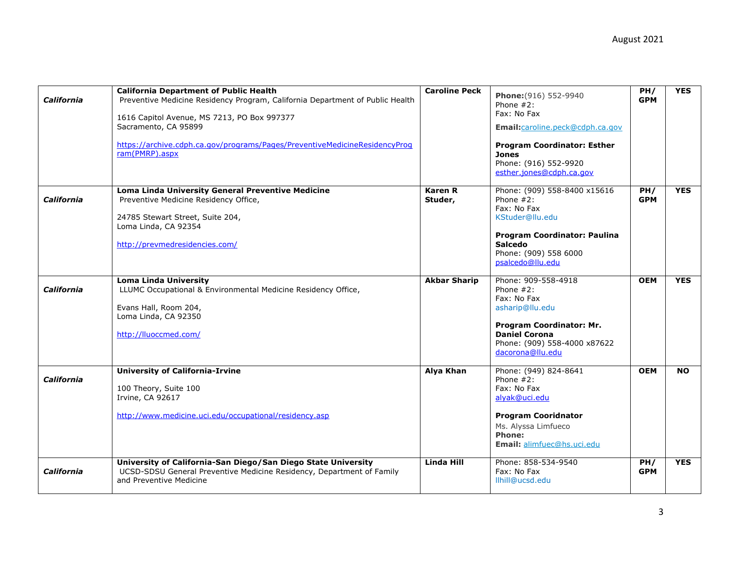| <b>California</b> | <b>California Department of Public Health</b><br>Preventive Medicine Residency Program, California Department of Public Health<br>1616 Capitol Avenue, MS 7213, PO Box 997377<br>Sacramento, CA 95899<br>https://archive.cdph.ca.gov/programs/Pages/PreventiveMedicineResidencyProg<br>ram(PMRP).aspx | <b>Caroline Peck</b>      | Phone: (916) 552-9940<br>Phone $#2$ :<br>Fax: No Fax<br>Email:caroline.peck@cdph.ca.gov<br><b>Program Coordinator: Esther</b><br><b>Jones</b><br>Phone: (916) 552-9920<br>esther.jones@cdph.ca.gov | PH/<br><b>GPM</b> | <b>YES</b> |
|-------------------|-------------------------------------------------------------------------------------------------------------------------------------------------------------------------------------------------------------------------------------------------------------------------------------------------------|---------------------------|----------------------------------------------------------------------------------------------------------------------------------------------------------------------------------------------------|-------------------|------------|
| California        | Loma Linda University General Preventive Medicine<br>Preventive Medicine Residency Office,<br>24785 Stewart Street, Suite 204,<br>Loma Linda, CA 92354<br>http://prevmedresidencies.com/                                                                                                              | <b>Karen R</b><br>Studer, | Phone: (909) 558-8400 x15616<br>Phone $#2$ :<br>Fax: No Fax<br>KStuder@llu.edu<br><b>Program Coordinator: Paulina</b><br><b>Salcedo</b><br>Phone: (909) 558 6000<br>psalcedo@llu.edu               | PH/<br><b>GPM</b> | <b>YES</b> |
| California        | <b>Loma Linda University</b><br>LLUMC Occupational & Environmental Medicine Residency Office,<br>Evans Hall, Room 204,<br>Loma Linda, CA 92350<br>http://lluoccmed.com/                                                                                                                               | <b>Akbar Sharip</b>       | Phone: 909-558-4918<br>Phone $#2$ :<br>Fax: No Fax<br>asharip@llu.edu<br>Program Coordinator: Mr.<br><b>Daniel Corona</b><br>Phone: (909) 558-4000 x87622<br>dacorona@llu.edu                      | <b>OEM</b>        | <b>YES</b> |
| California        | <b>University of California-Irvine</b><br>100 Theory, Suite 100<br>Irvine, CA 92617<br>http://www.medicine.uci.edu/occupational/residency.asp                                                                                                                                                         | Alya Khan                 | Phone: (949) 824-8641<br>Phone $#2$ :<br>Fax: No Fax<br>alyak@uci.edu<br><b>Program Cooridnator</b><br>Ms. Alyssa Limfueco<br><b>Phone:</b><br>Email: alimfuec@hs.uci.edu                          | <b>OEM</b>        | <b>NO</b>  |
| <b>California</b> | University of California-San Diego/San Diego State University<br>UCSD-SDSU General Preventive Medicine Residency, Department of Family<br>and Preventive Medicine                                                                                                                                     | Linda Hill                | Phone: 858-534-9540<br>Fax: No Fax<br>llhill@ucsd.edu                                                                                                                                              | PH/<br><b>GPM</b> | <b>YES</b> |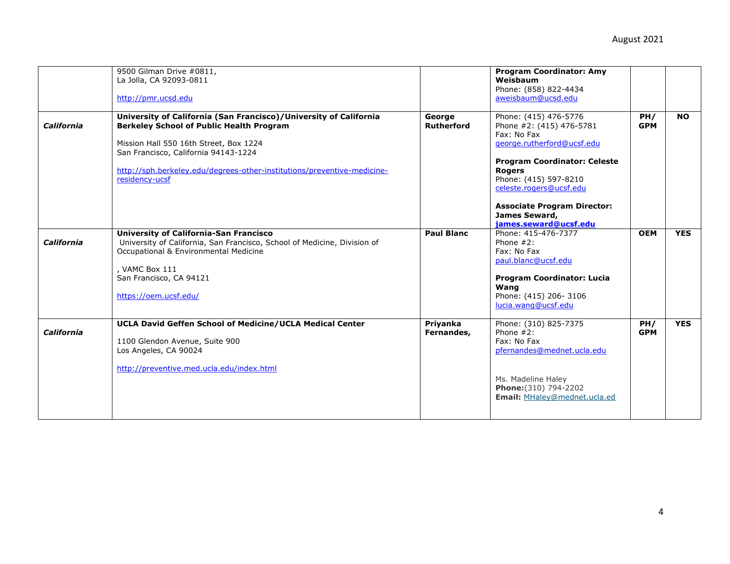|                   | 9500 Gilman Drive #0811,<br>La Jolla, CA 92093-0811<br>http://pmr.ucsd.edu                                                                                                                                                                                                                          |                        | <b>Program Coordinator: Amy</b><br>Weisbaum<br>Phone: (858) 822-4434<br>aweisbaum@ucsd.edu                                                                                                                                                                                                 |                   |            |
|-------------------|-----------------------------------------------------------------------------------------------------------------------------------------------------------------------------------------------------------------------------------------------------------------------------------------------------|------------------------|--------------------------------------------------------------------------------------------------------------------------------------------------------------------------------------------------------------------------------------------------------------------------------------------|-------------------|------------|
| California        | University of California (San Francisco)/University of California<br><b>Berkeley School of Public Health Program</b><br>Mission Hall 550 16th Street, Box 1224<br>San Francisco, California 94143-1224<br>http://sph.berkeley.edu/degrees-other-institutions/preventive-medicine-<br>residency-ucsf | George<br>Rutherford   | Phone: (415) 476-5776<br>Phone #2: (415) 476-5781<br>Fax: No Fax<br>george.rutherford@ucsf.edu<br><b>Program Coordinator: Celeste</b><br><b>Rogers</b><br>Phone: (415) 597-8210<br>celeste.rogers@ucsf.edu<br><b>Associate Program Director:</b><br>James Seward,<br>james.seward@ucsf.edu | PH/<br><b>GPM</b> | <b>NO</b>  |
| California        | <b>University of California-San Francisco</b><br>University of California, San Francisco, School of Medicine, Division of<br>Occupational & Environmental Medicine<br>, VAMC Box 111<br>San Francisco, CA 94121<br>https://oem.ucsf.edu/                                                            | <b>Paul Blanc</b>      | Phone: 415-476-7377<br>Phone $#2$ :<br>Fax: No Fax<br>paul.blanc@ucsf.edu<br><b>Program Coordinator: Lucia</b><br>Wang<br>Phone: (415) 206-3106<br>lucia.wang@ucsf.edu                                                                                                                     | <b>OEM</b>        | <b>YES</b> |
| <b>California</b> | <b>UCLA David Geffen School of Medicine/UCLA Medical Center</b><br>1100 Glendon Avenue, Suite 900<br>Los Angeles, CA 90024<br>http://preventive.med.ucla.edu/index.html                                                                                                                             | Priyanka<br>Fernandes, | Phone: (310) 825-7375<br>Phone $#2$ :<br>Fax: No Fax<br>pfernandes@mednet.ucla.edu<br>Ms. Madeline Haley<br>Phone: (310) 794-2202<br>Email: MHaley@mednet.ucla.ed                                                                                                                          | PH/<br><b>GPM</b> | <b>YES</b> |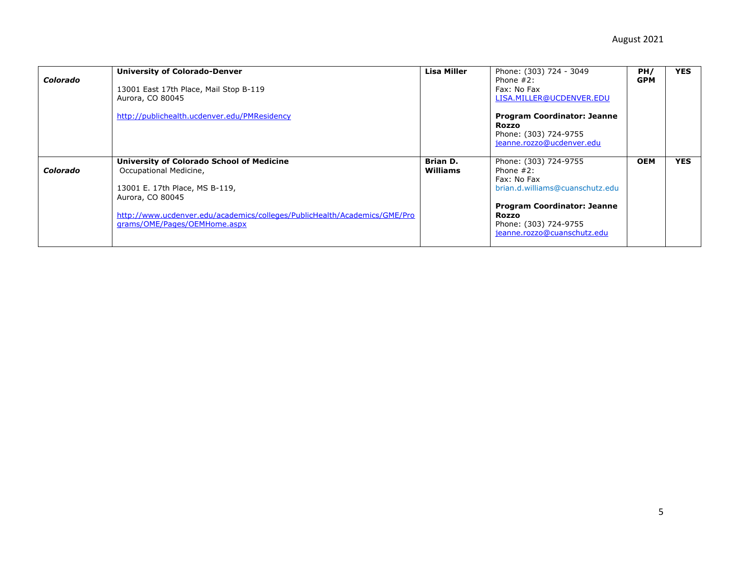| Colorado | <b>University of Colorado-Denver</b><br>13001 East 17th Place, Mail Stop B-119<br>Aurora, CO 80045<br>http://publichealth.ucdenver.edu/PMResidency                                                                                     | Lisa Miller                 | Phone: (303) 724 - 3049<br>Phone $#2$ :<br>Fax: No Fax<br>LISA.MILLER@UCDENVER.EDU<br><b>Program Coordinator: Jeanne</b><br><b>Rozzo</b><br>Phone: (303) 724-9755<br>jeanne.rozzo@ucdenver.edu | PH/<br><b>GPM</b> | <b>YES</b> |
|----------|----------------------------------------------------------------------------------------------------------------------------------------------------------------------------------------------------------------------------------------|-----------------------------|------------------------------------------------------------------------------------------------------------------------------------------------------------------------------------------------|-------------------|------------|
| Colorado | University of Colorado School of Medicine<br>Occupational Medicine,<br>13001 E. 17th Place, MS B-119,<br>Aurora, CO 80045<br>http://www.ucdenver.edu/academics/colleges/PublicHealth/Academics/GME/Pro<br>grams/OME/Pages/OEMHome.aspx | <b>Brian D.</b><br>Williams | Phone: (303) 724-9755<br>Phone $#2$ :<br>Fax: No Fax<br>brian.d.williams@cuanschutz.edu<br><b>Program Coordinator: Jeanne</b><br>Rozzo<br>Phone: (303) 724-9755<br>jeanne.rozzo@cuanschutz.edu | <b>OEM</b>        | <b>YES</b> |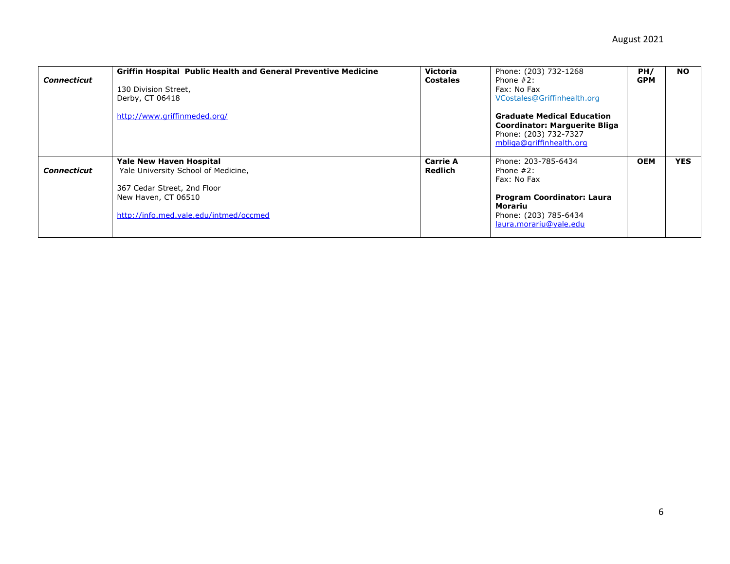| <b>Connecticut</b> | <b>Griffin Hospital Public Health and General Preventive Medicine</b><br>130 Division Street,<br>Derby, CT 06418<br>http://www.griffinmeded.org/                      | Victoria<br><b>Costales</b> | Phone: (203) 732-1268<br>Phone $#2$ :<br>Fax: No Fax<br>VCostales@Griffinhealth.org<br><b>Graduate Medical Education</b><br><b>Coordinator: Marguerite Bliga</b><br>Phone: (203) 732-7327<br>mbliga@griffinhealth.org | PH/<br><b>GPM</b> | <b>NO</b>  |
|--------------------|-----------------------------------------------------------------------------------------------------------------------------------------------------------------------|-----------------------------|-----------------------------------------------------------------------------------------------------------------------------------------------------------------------------------------------------------------------|-------------------|------------|
| <b>Connecticut</b> | <b>Yale New Haven Hospital</b><br>Yale University School of Medicine,<br>367 Cedar Street, 2nd Floor<br>New Haven, CT 06510<br>http://info.med.yale.edu/intmed/occmed | <b>Carrie A</b><br>Redlich  | Phone: 203-785-6434<br>Phone $#2$ :<br>Fax: No Fax<br><b>Program Coordinator: Laura</b><br>Morariu<br>Phone: (203) 785-6434<br>laura.morariu@yale.edu                                                                 | <b>OEM</b>        | <b>YES</b> |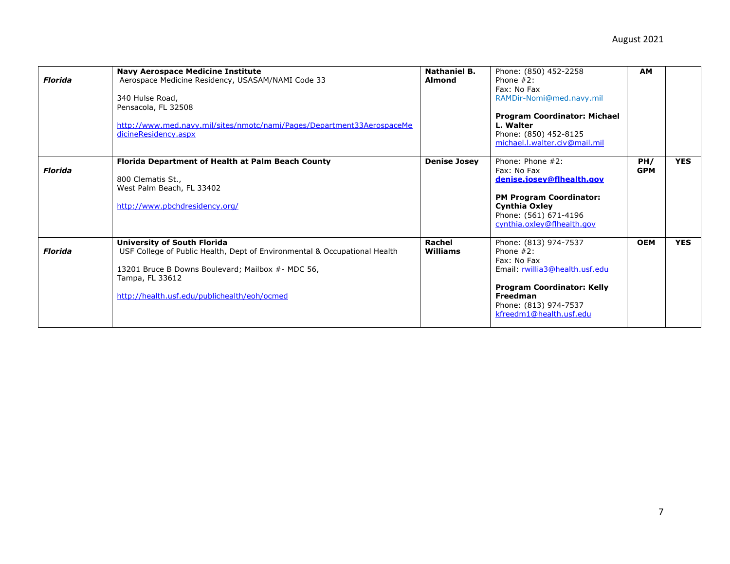| Florida        | <b>Navy Aerospace Medicine Institute</b><br>Aerospace Medicine Residency, USASAM/NAMI Code 33<br>340 Hulse Road,<br>Pensacola, FL 32508<br>http://www.med.navy.mil/sites/nmotc/nami/Pages/Department33AerospaceMe<br>dicineResidency.aspx | <b>Nathaniel B.</b><br>Almond | Phone: (850) 452-2258<br>Phone $#2$ :<br>Fax: No Fax<br>RAMDir-Nomi@med.navy.mil<br><b>Program Coordinator: Michael</b><br>L. Walter<br>Phone: (850) 452-8125<br>michael.l.walter.civ@mail.mil | <b>AM</b>         |            |
|----------------|-------------------------------------------------------------------------------------------------------------------------------------------------------------------------------------------------------------------------------------------|-------------------------------|------------------------------------------------------------------------------------------------------------------------------------------------------------------------------------------------|-------------------|------------|
| <b>Florida</b> | Florida Department of Health at Palm Beach County<br>800 Clematis St.,<br>West Palm Beach, FL 33402<br>http://www.pbchdresidency.org/                                                                                                     | <b>Denise Josey</b>           | Phone: Phone #2:<br>Fax: No Fax<br>denise.josey@flhealth.gov<br><b>PM Program Coordinator:</b><br>Cynthia Oxley<br>Phone: (561) 671-4196<br>cynthia.oxley@flhealth.gov                         | PH/<br><b>GPM</b> | <b>YES</b> |
| <b>Florida</b> | <b>University of South Florida</b><br>USF College of Public Health, Dept of Environmental & Occupational Health<br>13201 Bruce B Downs Boulevard; Mailbox #- MDC 56,<br>Tampa, FL 33612<br>http://health.usf.edu/publichealth/eoh/ocmed   | Rachel<br>Williams            | Phone: (813) 974-7537<br>Phone $#2$ :<br>Fax: No Fax<br>Email: rwillia3@health.usf.edu<br><b>Program Coordinator: Kelly</b><br>Freedman<br>Phone: (813) 974-7537<br>kfreedm1@health.usf.edu    | <b>OEM</b>        | <b>YES</b> |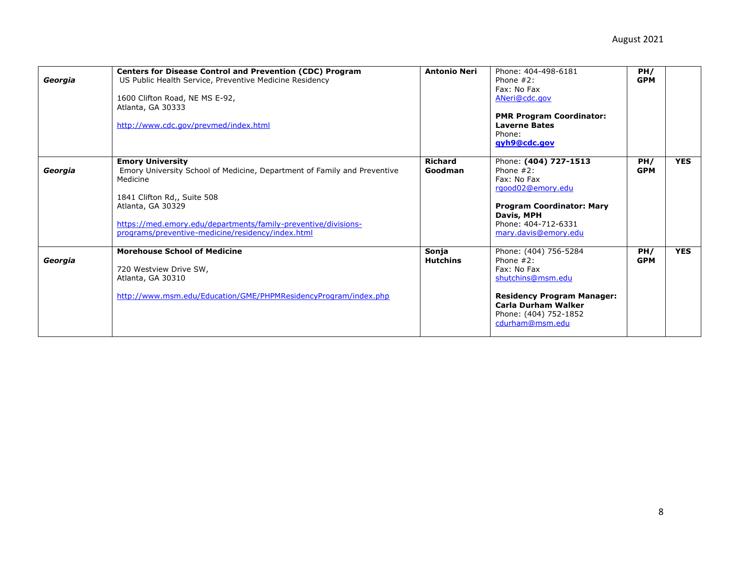| Georgia | <b>Centers for Disease Control and Prevention (CDC) Program</b><br>US Public Health Service, Preventive Medicine Residency<br>1600 Clifton Road, NE MS E-92,<br>Atlanta, GA 30333<br>http://www.cdc.gov/prevmed/index.html                                                                 | <b>Antonio Neri</b>       | Phone: 404-498-6181<br>Phone $#2$ :<br>Fax: No Fax<br>ANeri@cdc.gov<br><b>PMR Program Coordinator:</b><br><b>Laverne Bates</b><br>Phone:<br>gyh9@cdc.gov                                 | PH/<br><b>GPM</b> |            |
|---------|--------------------------------------------------------------------------------------------------------------------------------------------------------------------------------------------------------------------------------------------------------------------------------------------|---------------------------|------------------------------------------------------------------------------------------------------------------------------------------------------------------------------------------|-------------------|------------|
| Georgia | <b>Emory University</b><br>Emory University School of Medicine, Department of Family and Preventive<br>Medicine<br>1841 Clifton Rd,, Suite 508<br>Atlanta, GA 30329<br>https://med.emory.edu/departments/family-preventive/divisions-<br>programs/preventive-medicine/residency/index.html | <b>Richard</b><br>Goodman | Phone: (404) 727-1513<br>Phone $#2$ :<br>Fax: No Fax<br>rgood02@emory.edu<br><b>Program Coordinator: Mary</b><br>Davis, MPH<br>Phone: 404-712-6331<br>mary.davis@emory.edu               | PH/<br><b>GPM</b> | <b>YES</b> |
| Georgia | <b>Morehouse School of Medicine</b><br>720 Westview Drive SW,<br>Atlanta, GA 30310<br>http://www.msm.edu/Education/GME/PHPMResidencyProgram/index.php                                                                                                                                      | Sonja<br><b>Hutchins</b>  | Phone: (404) 756-5284<br>Phone $#2$ :<br>Fax: No Fax<br>shutchins@msm.edu<br><b>Residency Program Manager:</b><br><b>Carla Durham Walker</b><br>Phone: (404) 752-1852<br>cdurham@msm.edu | PH/<br><b>GPM</b> | <b>YES</b> |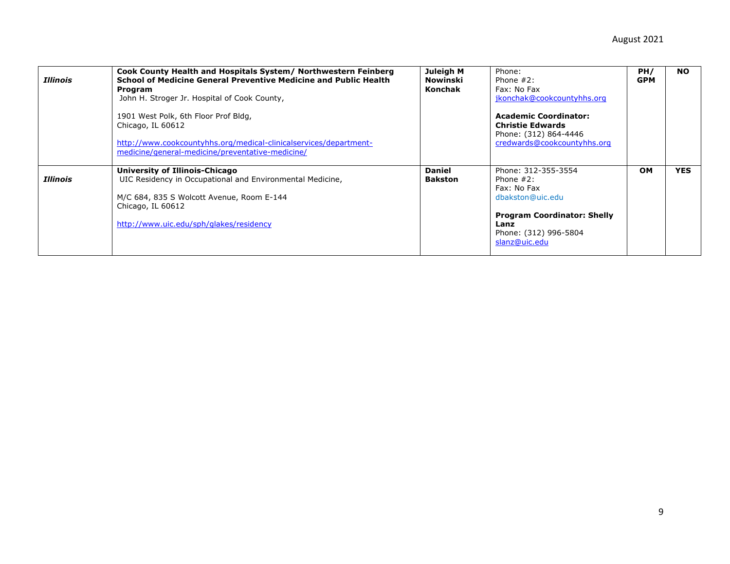| Illinois        | Cook County Health and Hospitals System/ Northwestern Feinberg<br>School of Medicine General Preventive Medicine and Public Health<br>Program<br>John H. Stroger Jr. Hospital of Cook County,<br>1901 West Polk, 6th Floor Prof Bldg,<br>Chicago, IL 60612<br>http://www.cookcountyhhs.org/medical-clinicalservices/department-<br>medicine/general-medicine/preventative-medicine/ | Juleigh M<br><b>Nowinski</b><br><b>Konchak</b> | Phone:<br>Phone $#2$ :<br>Fax: No Fax<br>jkonchak@cookcountyhhs.org<br><b>Academic Coordinator:</b><br><b>Christie Edwards</b><br>Phone: (312) 864-4446<br>credwards@cookcountyhhs.org | PH/<br><b>GPM</b> | <b>NO</b>  |
|-----------------|-------------------------------------------------------------------------------------------------------------------------------------------------------------------------------------------------------------------------------------------------------------------------------------------------------------------------------------------------------------------------------------|------------------------------------------------|----------------------------------------------------------------------------------------------------------------------------------------------------------------------------------------|-------------------|------------|
| <i>Illinois</i> | University of Illinois-Chicago<br>UIC Residency in Occupational and Environmental Medicine,<br>M/C 684, 835 S Wolcott Avenue, Room E-144<br>Chicago, IL 60612<br>http://www.uic.edu/sph/glakes/residency                                                                                                                                                                            | <b>Daniel</b><br><b>Bakston</b>                | Phone: 312-355-3554<br>Phone $#2$ :<br>Fax: No Fax<br>dbakston@uic.edu<br><b>Program Coordinator: Shelly</b><br>Lanz<br>Phone: (312) 996-5804<br>slanz@uic.edu                         | <b>OM</b>         | <b>YES</b> |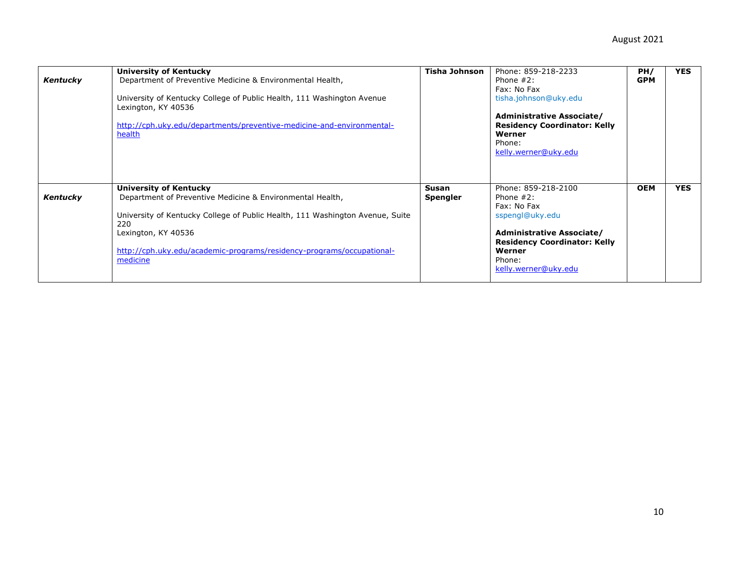| Kentucky | University of Kentucky<br>Department of Preventive Medicine & Environmental Health,<br>University of Kentucky College of Public Health, 111 Washington Avenue<br>Lexington, KY 40536<br>http://cph.uky.edu/departments/preventive-medicine-and-environmental-<br>health                 | Tisha Johnson            | Phone: 859-218-2233<br>Phone $#2:$<br>Fax: No Fax<br>tisha.johnson@uky.edu<br>Administrative Associate/<br><b>Residency Coordinator: Kelly</b><br>Werner<br>Phone:<br>kelly.werner@uky.edu   | PH/<br><b>GPM</b> | <b>YES</b> |
|----------|-----------------------------------------------------------------------------------------------------------------------------------------------------------------------------------------------------------------------------------------------------------------------------------------|--------------------------|----------------------------------------------------------------------------------------------------------------------------------------------------------------------------------------------|-------------------|------------|
| Kentucky | University of Kentucky<br>Department of Preventive Medicine & Environmental Health,<br>University of Kentucky College of Public Health, 111 Washington Avenue, Suite<br>220<br>Lexington, KY 40536<br>http://cph.uky.edu/academic-programs/residency-programs/occupational-<br>medicine | Susan<br><b>Spengler</b> | Phone: 859-218-2100<br>Phone $#2$ :<br>Fax: No Fax<br>sspengl@uky.edu<br><b>Administrative Associate/</b><br><b>Residency Coordinator: Kelly</b><br>Werner<br>Phone:<br>kelly.werner@uky.edu | <b>OEM</b>        | <b>YES</b> |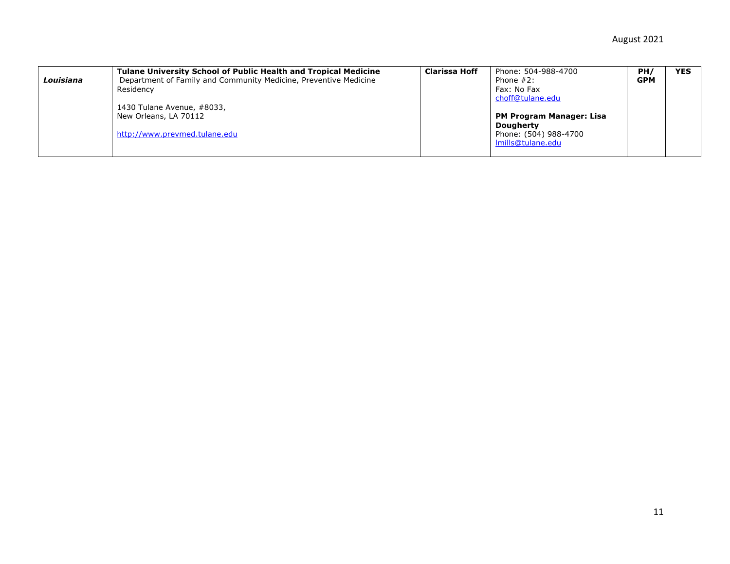|           | <b>Tulane University School of Public Health and Tropical Medicine</b> | Clarissa Hoff | Phone: 504-988-4700             | PH/        | <b>YES</b> |
|-----------|------------------------------------------------------------------------|---------------|---------------------------------|------------|------------|
| Louisiana | Department of Family and Community Medicine, Preventive Medicine       |               | Phone $#2$ :                    | <b>GPM</b> |            |
|           | Residency                                                              |               | Fax: No Fax                     |            |            |
|           |                                                                        |               | choff@tulane.edu                |            |            |
|           | 1430 Tulane Avenue, #8033,                                             |               |                                 |            |            |
|           | New Orleans, LA 70112                                                  |               | <b>PM Program Manager: Lisa</b> |            |            |
|           |                                                                        |               | <b>Dougherty</b>                |            |            |
|           | http://www.prevmed.tulane.edu                                          |               | Phone: (504) 988-4700           |            |            |
|           |                                                                        |               | Imills@tulane.edu               |            |            |
|           |                                                                        |               |                                 |            |            |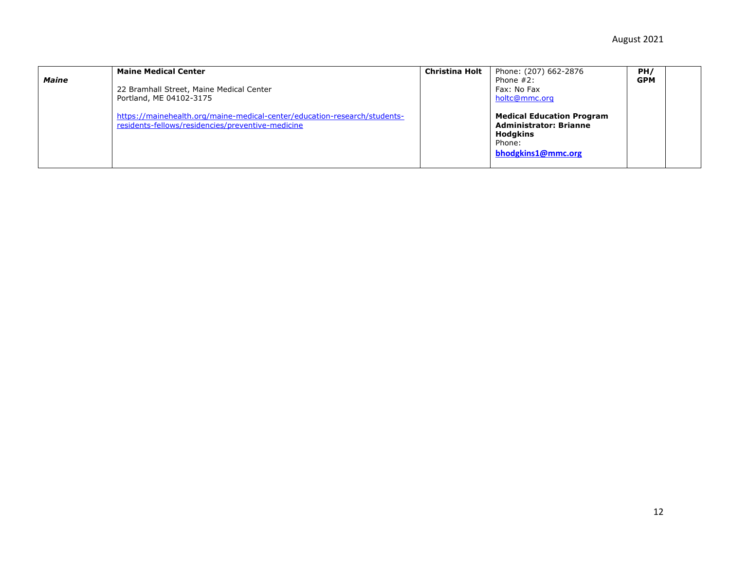| <b>Maine</b> | <b>Maine Medical Center</b><br>22 Bramhall Street, Maine Medical Center<br>Portland, ME 04102-3175                             | <b>Christina Holt</b> | Phone: (207) 662-2876<br>Phone $#2$ :<br>Fax: No Fax<br>holtc@mmc.org                                                | PH/<br><b>GPM</b> |  |
|--------------|--------------------------------------------------------------------------------------------------------------------------------|-----------------------|----------------------------------------------------------------------------------------------------------------------|-------------------|--|
|              | https://mainehealth.org/maine-medical-center/education-research/students-<br>residents-fellows/residencies/preventive-medicine |                       | <b>Medical Education Program</b><br><b>Administrator: Brianne</b><br><b>Hodgkins</b><br>Phone:<br>bhodgkins1@mmc.org |                   |  |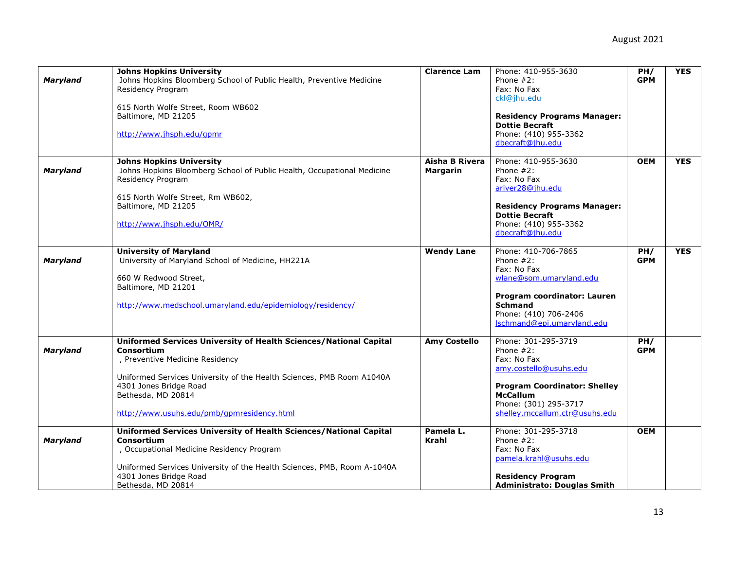| <b>Maryland</b> | <b>Johns Hopkins University</b><br>Johns Hopkins Bloomberg School of Public Health, Preventive Medicine<br>Residency Program<br>615 North Wolfe Street, Room WB602<br>Baltimore, MD 21205<br>http://www.jhsph.edu/qpmr                                                                    | <b>Clarence Lam</b>               | Phone: 410-955-3630<br>Phone $#2$ :<br>Fax: No Fax<br>ckl@jhu.edu<br><b>Residency Programs Manager:</b><br><b>Dottie Becraft</b><br>Phone: (410) 955-3362<br>dbecraft@jhu.edu                     | PH/<br><b>GPM</b> | <b>YES</b> |
|-----------------|-------------------------------------------------------------------------------------------------------------------------------------------------------------------------------------------------------------------------------------------------------------------------------------------|-----------------------------------|---------------------------------------------------------------------------------------------------------------------------------------------------------------------------------------------------|-------------------|------------|
| <b>Maryland</b> | <b>Johns Hopkins University</b><br>Johns Hopkins Bloomberg School of Public Health, Occupational Medicine<br>Residency Program<br>615 North Wolfe Street, Rm WB602,<br>Baltimore, MD 21205<br>http://www.jhsph.edu/OMR/                                                                   | Aisha B Rivera<br><b>Margarin</b> | Phone: 410-955-3630<br>Phone $#2$ :<br>Fax: No Fax<br>ariver28@jhu.edu<br><b>Residency Programs Manager:</b><br><b>Dottie Becraft</b><br>Phone: (410) 955-3362<br>dbecraft@jhu.edu                | <b>OEM</b>        | <b>YES</b> |
| <b>Maryland</b> | <b>University of Maryland</b><br>University of Maryland School of Medicine, HH221A<br>660 W Redwood Street,<br>Baltimore, MD 21201<br>http://www.medschool.umaryland.edu/epidemiology/residency/                                                                                          | <b>Wendy Lane</b>                 | Phone: 410-706-7865<br>Phone $#2$ :<br>Fax: No Fax<br>wlane@som.umarvland.edu<br>Program coordinator: Lauren<br><b>Schmand</b><br>Phone: (410) 706-2406<br>Ischmand@epi.umaryland.edu             | PH/<br><b>GPM</b> | <b>YES</b> |
| <b>Maryland</b> | Uniformed Services University of Health Sciences/National Capital<br>Consortium<br>, Preventive Medicine Residency<br>Uniformed Services University of the Health Sciences, PMB Room A1040A<br>4301 Jones Bridge Road<br>Bethesda, MD 20814<br>http://www.usuhs.edu/pmb/gpmresidency.html | <b>Amy Costello</b>               | Phone: 301-295-3719<br>Phone $#2$ :<br>Fax: No Fax<br>amy.costello@usuhs.edu<br><b>Program Coordinator: Shelley</b><br><b>McCallum</b><br>Phone: (301) 295-3717<br>shelley.mccallum.ctr@usuhs.edu | PH/<br><b>GPM</b> |            |
| <b>Maryland</b> | <b>Uniformed Services University of Health Sciences/National Capital</b><br>Consortium<br>, Occupational Medicine Residency Program<br>Uniformed Services University of the Health Sciences, PMB, Room A-1040A<br>4301 Jones Bridge Road<br>Bethesda, MD 20814                            | Pamela L.<br><b>Krahl</b>         | Phone: 301-295-3718<br>Phone $#2$ :<br>Fax: No Fax<br>pamela.krahl@usuhs.edu<br><b>Residency Program</b><br><b>Administrato: Douglas Smith</b>                                                    | <b>OEM</b>        |            |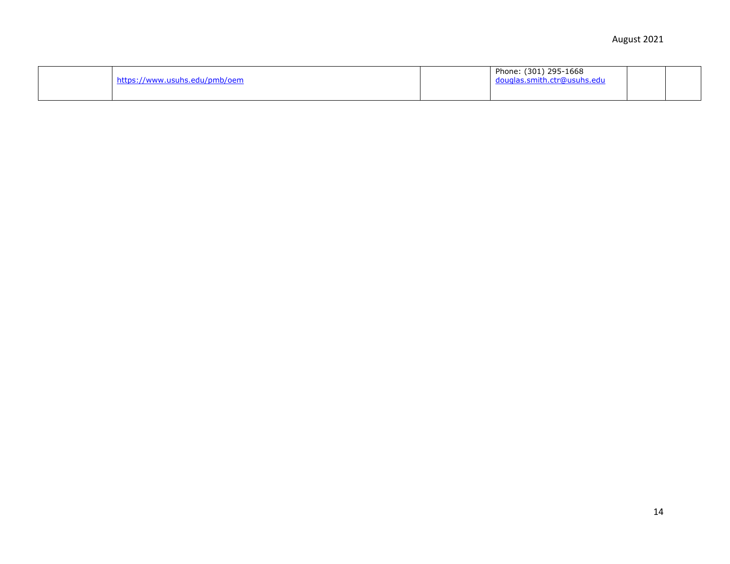| https://www.usuhs.edu/pmb/oem |  | Phone: (301) 295-1668<br>douglas.smith.ctr@usuhs.edu |  |  |
|-------------------------------|--|------------------------------------------------------|--|--|
|-------------------------------|--|------------------------------------------------------|--|--|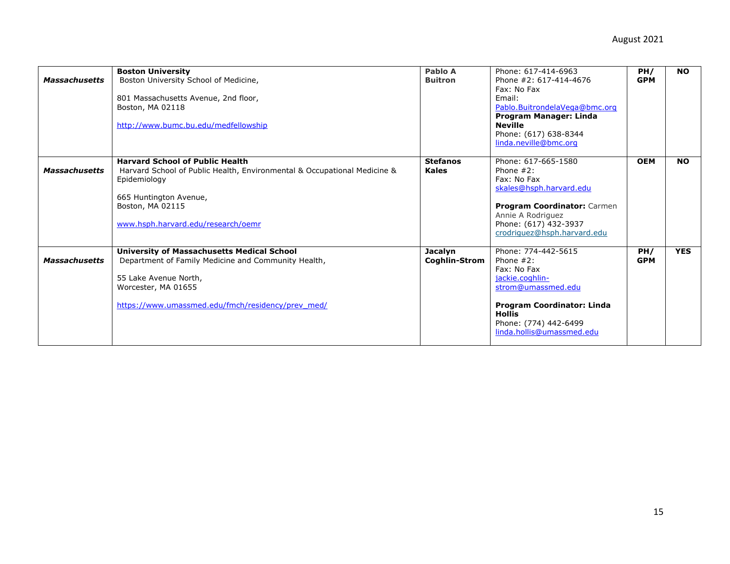| <b>Massachusetts</b> | <b>Boston University</b><br>Boston University School of Medicine,<br>801 Massachusetts Avenue, 2nd floor,<br>Boston, MA 02118<br>http://www.bumc.bu.edu/medfellowship                                                  | Pablo A<br><b>Buitron</b>       | Phone: 617-414-6963<br>Phone #2: 617-414-4676<br>Fax: No Fax<br>Email:<br>Pablo.BuitrondelaVega@bmc.org<br>Program Manager: Linda<br><b>Neville</b><br>Phone: (617) 638-8344<br>linda.neville@bmc.org | PH/<br><b>GPM</b> | <b>NO</b>  |
|----------------------|------------------------------------------------------------------------------------------------------------------------------------------------------------------------------------------------------------------------|---------------------------------|-------------------------------------------------------------------------------------------------------------------------------------------------------------------------------------------------------|-------------------|------------|
| <b>Massachusetts</b> | <b>Harvard School of Public Health</b><br>Harvard School of Public Health, Environmental & Occupational Medicine &<br>Epidemiology<br>665 Huntington Avenue,<br>Boston, MA 02115<br>www.hsph.harvard.edu/research/oemr | <b>Stefanos</b><br><b>Kales</b> | Phone: 617-665-1580<br>Phone $#2$ :<br>Fax: No Fax<br>skales@hsph.harvard.edu<br>Program Coordinator: Carmen<br>Annie A Rodriguez<br>Phone: (617) 432-3937<br>crodriquez@hsph.harvard.edu             | <b>OEM</b>        | <b>NO</b>  |
| <b>Massachusetts</b> | <b>University of Massachusetts Medical School</b><br>Department of Family Medicine and Community Health,<br>55 Lake Avenue North,<br>Worcester, MA 01655<br>https://www.umassmed.edu/fmch/residency/prev_med/          | <b>Jacalyn</b><br>Coghlin-Strom | Phone: 774-442-5615<br>Phone $#2$ :<br>Fax: No Fax<br>jackie.coghlin-<br>strom@umassmed.edu<br>Program Coordinator: Linda<br><b>Hollis</b><br>Phone: (774) 442-6499<br>linda.hollis@umassmed.edu      | PH/<br><b>GPM</b> | <b>YES</b> |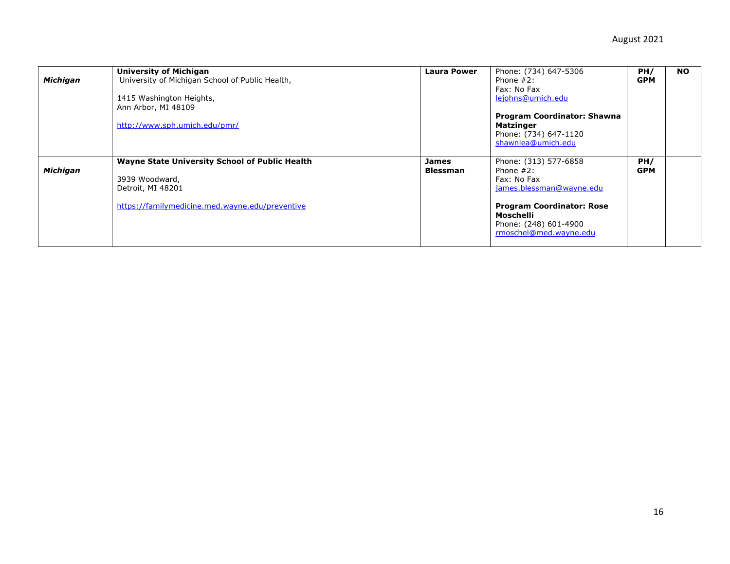| <b>Michigan</b> | <b>University of Michigan</b><br>University of Michigan School of Public Health,<br>1415 Washington Heights,<br>Ann Arbor, MI 48109<br>http://www.sph.umich.edu/pmr/ | <b>Laura Power</b>       | Phone: (734) 647-5306<br>Phone $#2$ :<br>Fax: No Fax<br>lejohns@umich.edu<br><b>Program Coordinator: Shawna</b><br><b>Matzinger</b><br>Phone: (734) 647-1120<br>shawnlea@umich.edu   | PH/<br><b>GPM</b> | <b>NO</b> |
|-----------------|----------------------------------------------------------------------------------------------------------------------------------------------------------------------|--------------------------|--------------------------------------------------------------------------------------------------------------------------------------------------------------------------------------|-------------------|-----------|
| <b>Michigan</b> | <b>Wayne State University School of Public Health</b><br>3939 Woodward,<br>Detroit, MI 48201<br>https://familymedicine.med.wayne.edu/preventive                      | James<br><b>Blessman</b> | Phone: (313) 577-6858<br>Phone $#2$ :<br>Fax: No Fax<br>james.blessman@wayne.edu<br><b>Program Coordinator: Rose</b><br>Moschelli<br>Phone: (248) 601-4900<br>rmoschel@med.wayne.edu | PH/<br><b>GPM</b> |           |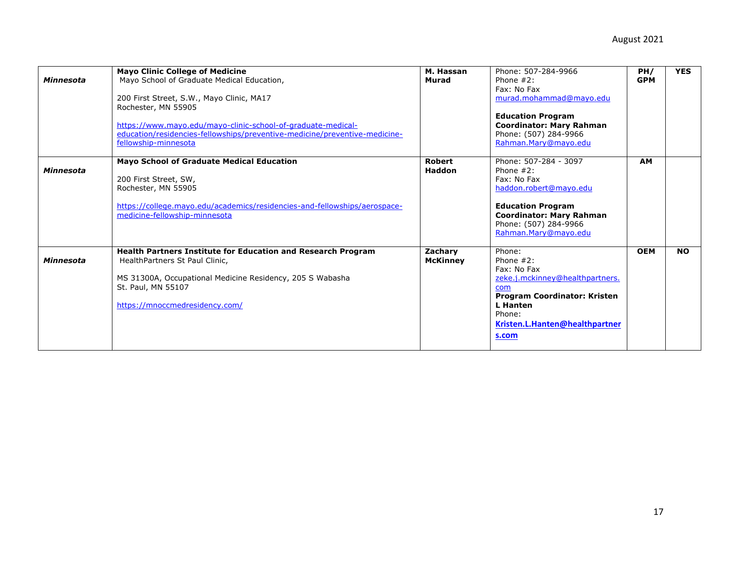| <b>Minnesota</b> | <b>Mayo Clinic College of Medicine</b><br>Mavo School of Graduate Medical Education.<br>200 First Street, S.W., Mayo Clinic, MA17<br>Rochester, MN 55905<br>https://www.mayo.edu/mayo-clinic-school-of-graduate-medical-<br>education/residencies-fellowships/preventive-medicine/preventive-medicine-<br>fellowship-minnesota | M. Hassan<br>Murad             | Phone: 507-284-9966<br>Phone $#2$ :<br>Fax: No Fax<br>murad.mohammad@mayo.edu<br><b>Education Program</b><br><b>Coordinator: Mary Rahman</b><br>Phone: (507) 284-9966<br>Rahman.Mary@mayo.edu  | PH/<br><b>GPM</b> | <b>YES</b> |
|------------------|--------------------------------------------------------------------------------------------------------------------------------------------------------------------------------------------------------------------------------------------------------------------------------------------------------------------------------|--------------------------------|------------------------------------------------------------------------------------------------------------------------------------------------------------------------------------------------|-------------------|------------|
| Minnesota        | <b>Mayo School of Graduate Medical Education</b><br>200 First Street, SW,<br>Rochester, MN 55905<br>https://college.mayo.edu/academics/residencies-and-fellowships/aerospace-<br>medicine-fellowship-minnesota                                                                                                                 | <b>Robert</b><br><b>Haddon</b> | Phone: 507-284 - 3097<br>Phone $#2$ :<br>Fax: No Fax<br>haddon.robert@mayo.edu<br><b>Education Program</b><br><b>Coordinator: Mary Rahman</b><br>Phone: (507) 284-9966<br>Rahman.Mary@mayo.edu | <b>AM</b>         |            |
| <b>Minnesota</b> | <b>Health Partners Institute for Education and Research Program</b><br>HealthPartners St Paul Clinic.<br>MS 31300A, Occupational Medicine Residency, 205 S Wabasha<br>St. Paul, MN 55107<br>https://mnoccmedresidency.com/                                                                                                     | Zachary<br><b>McKinney</b>     | Phone:<br>Phone $#2$ :<br>Fax: No Fax<br>zeke.j.mckinney@healthpartners.<br>com<br><b>Program Coordinator: Kristen</b><br>L Hanten<br>Phone:<br>Kristen.L.Hanten@healthpartner<br>s.com        | <b>OEM</b>        | <b>NO</b>  |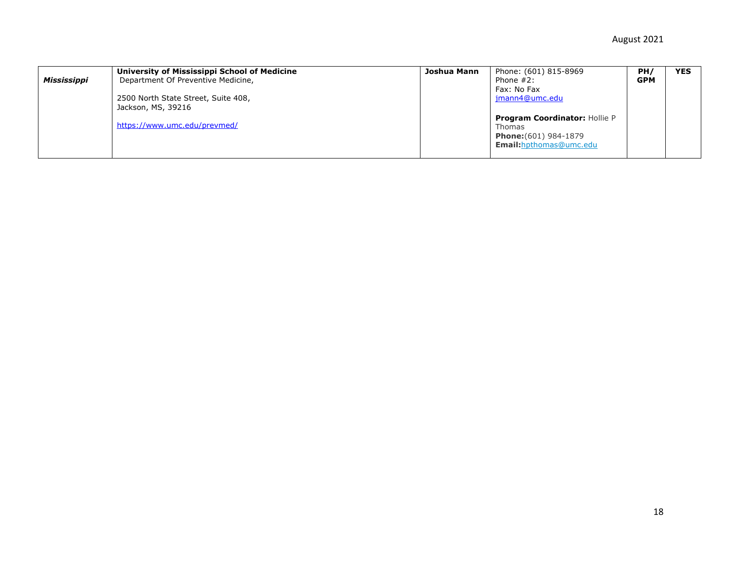|             | University of Mississippi School of Medicine | Joshua Mann | Phone: (601) 815-8969                                                                                     | PH/        | <b>YES</b> |
|-------------|----------------------------------------------|-------------|-----------------------------------------------------------------------------------------------------------|------------|------------|
| Mississippi | Department Of Preventive Medicine,           |             | Phone $#2$ :                                                                                              | <b>GPM</b> |            |
|             |                                              |             | Fax: No Fax                                                                                               |            |            |
|             | 2500 North State Street, Suite 408,          |             | imann4@umc.edu                                                                                            |            |            |
|             | Jackson, MS, 39216                           |             |                                                                                                           |            |            |
|             | https://www.umc.edu/prevmed/                 |             | <b>Program Coordinator: Hollie P</b><br>Thomas<br>Phone: (601) 984-1879<br><b>Email:</b> hpthomas@umc.edu |            |            |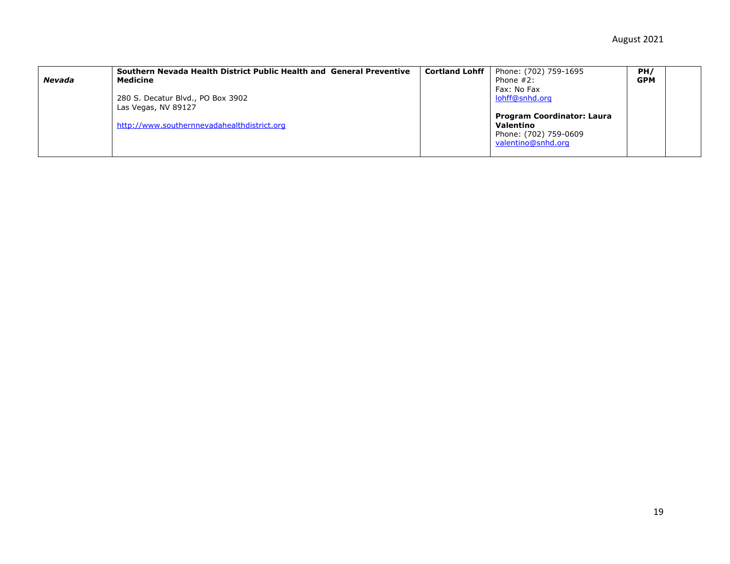| <b>Nevada</b> | Southern Nevada Health District Public Health and General Preventive<br>Medicine                        | <b>Cortland Lohff</b> | Phone: (702) 759-1695<br>Phone $#2$ :                                                                                          | PH/<br><b>GPM</b> |  |
|---------------|---------------------------------------------------------------------------------------------------------|-----------------------|--------------------------------------------------------------------------------------------------------------------------------|-------------------|--|
|               | 280 S. Decatur Blvd., PO Box 3902<br>Las Vegas, NV 89127<br>http://www.southernnevadahealthdistrict.org |                       | Fax: No Fax<br>lohff@snhd.org<br><b>Program Coordinator: Laura</b><br>Valentino<br>Phone: (702) 759-0609<br>valentino@snhd.org |                   |  |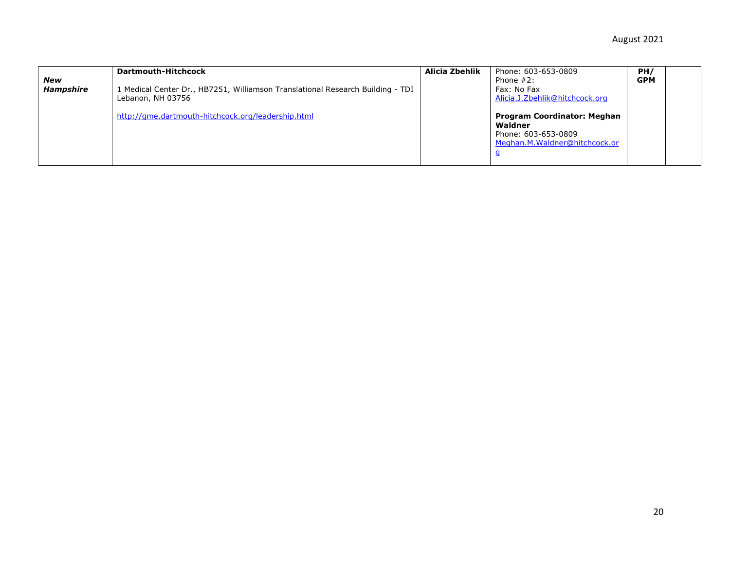| New<br><b>Hampshire</b> | Dartmouth-Hitchcock<br>1 Medical Center Dr., HB7251, Williamson Translational Research Building - TDI<br>Lebanon, NH 03756 | Alicia Zbehlik | Phone: 603-653-0809<br>Phone $#2$ :<br>Fax: No Fax<br>Alicia.J.Zbehlik@hitchcock.org                  | PH/<br><b>GPM</b> |  |
|-------------------------|----------------------------------------------------------------------------------------------------------------------------|----------------|-------------------------------------------------------------------------------------------------------|-------------------|--|
|                         | http://gme.dartmouth-hitchcock.org/leadership.html                                                                         |                | <b>Program Coordinator: Meghan</b><br>Waldner<br>Phone: 603-653-0809<br>Meghan.M.Waldner@hitchcock.or |                   |  |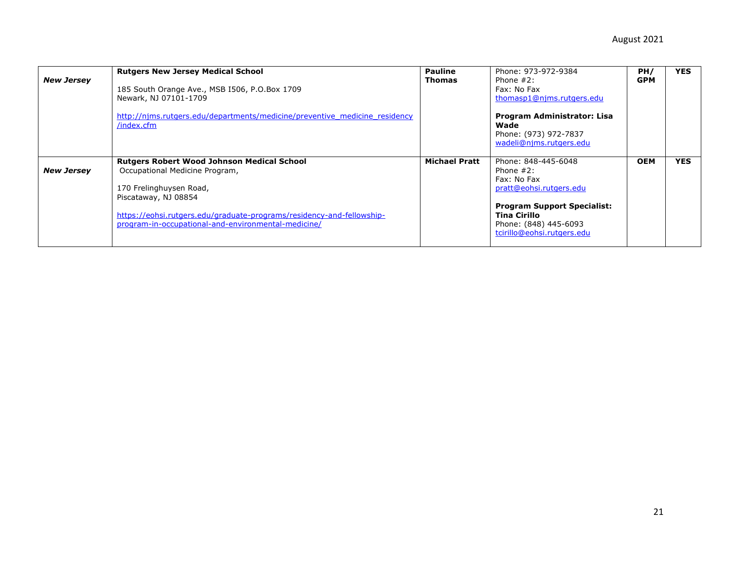| <b>New Jersey</b> | <b>Rutgers New Jersey Medical School</b><br>185 South Orange Ave., MSB 1506, P.O.Box 1709<br>Newark, NJ 07101-1709<br>http://nims.rutgers.edu/departments/medicine/preventive medicine residency<br>/index.cfm                                                         | <b>Pauline</b><br><b>Thomas</b> | Phone: 973-972-9384<br>Phone $#2$ :<br>Fax: No Fax<br>thomasp1@njms.rutgers.edu<br>Program Administrator: Lisa<br>Wade<br>Phone: (973) 972-7837<br>wadeli@njms.rutgers.edu                 | PH/<br><b>GPM</b> | <b>YES</b> |
|-------------------|------------------------------------------------------------------------------------------------------------------------------------------------------------------------------------------------------------------------------------------------------------------------|---------------------------------|--------------------------------------------------------------------------------------------------------------------------------------------------------------------------------------------|-------------------|------------|
| <b>New Jersey</b> | <b>Rutgers Robert Wood Johnson Medical School</b><br>Occupational Medicine Program,<br>170 Frelinghuysen Road,<br>Piscataway, NJ 08854<br>https://eohsi.rutgers.edu/graduate-programs/residency-and-fellowship-<br>program-in-occupational-and-environmental-medicine/ | <b>Michael Pratt</b>            | Phone: 848-445-6048<br>Phone $#2$ :<br>Fax: No Fax<br>pratt@eohsi.rutgers.edu<br><b>Program Support Specialist:</b><br>Tina Cirillo<br>Phone: (848) 445-6093<br>tcirillo@eohsi.rutgers.edu | <b>OEM</b>        | <b>YES</b> |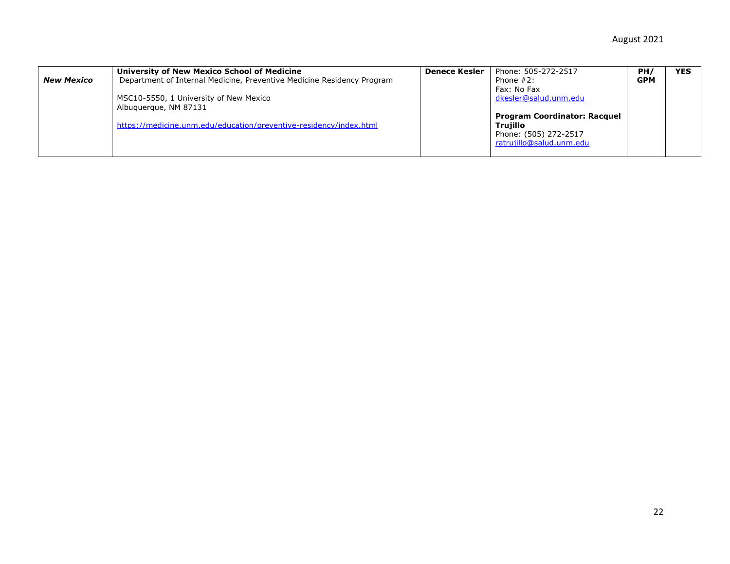| <b>New Mexico</b> | University of New Mexico School of Medicine<br>Department of Internal Medicine, Preventive Medicine Residency Program<br>MSC10-5550, 1 University of New Mexico<br>Albuguergue, NM 87131 | <b>Denece Kesler</b> | Phone: 505-272-2517<br>Phone $#2$ :<br>Fax: No Fax<br>dkesler@salud.unm.edu<br><b>Program Coordinator: Racquel</b> | PH/<br><b>GPM</b> | <b>YES</b> |
|-------------------|------------------------------------------------------------------------------------------------------------------------------------------------------------------------------------------|----------------------|--------------------------------------------------------------------------------------------------------------------|-------------------|------------|
|                   | https://medicine.unm.edu/education/preventive-residency/index.html                                                                                                                       |                      | Trujillo<br>Phone: (505) 272-2517<br>ratrujillo@salud.unm.edu                                                      |                   |            |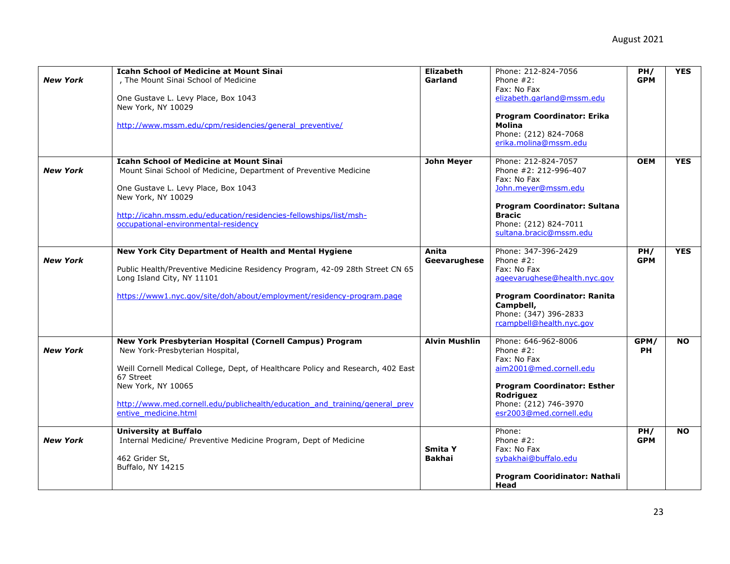|                 | <b>Icahn School of Medicine at Mount Sinai</b>                                   | <b>Elizabeth</b>     | Phone: 212-824-7056                    | PH/               | <b>YES</b> |
|-----------------|----------------------------------------------------------------------------------|----------------------|----------------------------------------|-------------------|------------|
| <b>New York</b> | . The Mount Sinai School of Medicine                                             | Garland              | Phone $#2$ :                           | <b>GPM</b>        |            |
|                 |                                                                                  |                      | Fax: No Fax                            |                   |            |
|                 | One Gustave L. Levy Place, Box 1043                                              |                      | elizabeth.garland@mssm.edu             |                   |            |
|                 | New York, NY 10029                                                               |                      |                                        |                   |            |
|                 |                                                                                  |                      | Program Coordinator: Erika             |                   |            |
|                 | http://www.mssm.edu/cpm/residencies/general preventive/                          |                      | <b>Molina</b><br>Phone: (212) 824-7068 |                   |            |
|                 |                                                                                  |                      | erika.molina@mssm.edu                  |                   |            |
|                 |                                                                                  |                      |                                        |                   |            |
|                 | <b>Icahn School of Medicine at Mount Sinai</b>                                   | <b>John Meyer</b>    | Phone: 212-824-7057                    | <b>OEM</b>        | <b>YES</b> |
| <b>New York</b> | Mount Sinai School of Medicine, Department of Preventive Medicine                |                      | Phone #2: 212-996-407                  |                   |            |
|                 |                                                                                  |                      | Fax: No Fax                            |                   |            |
|                 | One Gustave L. Levy Place, Box 1043                                              |                      | John.meyer@mssm.edu                    |                   |            |
|                 | New York, NY 10029                                                               |                      |                                        |                   |            |
|                 |                                                                                  |                      | Program Coordinator: Sultana           |                   |            |
|                 | http://icahn.mssm.edu/education/residencies-fellowships/list/msh-                |                      | <b>Bracic</b>                          |                   |            |
|                 | occupational-environmental-residency                                             |                      | Phone: (212) 824-7011                  |                   |            |
|                 |                                                                                  |                      | sultana.bracic@mssm.edu                |                   |            |
|                 |                                                                                  |                      |                                        |                   | <b>YES</b> |
| <b>New York</b> | New York City Department of Health and Mental Hygiene                            | Anita                | Phone: 347-396-2429<br>Phone $#2$ :    | PH/<br><b>GPM</b> |            |
|                 | Public Health/Preventive Medicine Residency Program, 42-09 28th Street CN 65     | Geevarughese         | Fax: No Fax                            |                   |            |
|                 | Long Island City, NY 11101                                                       |                      | ageevarughese@health.nyc.gov           |                   |            |
|                 |                                                                                  |                      |                                        |                   |            |
|                 | https://www1.nyc.gov/site/doh/about/employment/residency-program.page            |                      | Program Coordinator: Ranita            |                   |            |
|                 |                                                                                  |                      | Campbell,                              |                   |            |
|                 |                                                                                  |                      | Phone: (347) 396-2833                  |                   |            |
|                 |                                                                                  |                      | rcampbell@health.nyc.gov               |                   |            |
|                 |                                                                                  |                      |                                        |                   |            |
|                 | New York Presbyterian Hospital (Cornell Campus) Program                          | <b>Alvin Mushlin</b> | Phone: 646-962-8006                    | GPM/              | <b>NO</b>  |
| <b>New York</b> | New York-Presbyterian Hospital,                                                  |                      | Phone $#2$ :                           | <b>PH</b>         |            |
|                 |                                                                                  |                      | Fax: No Fax                            |                   |            |
|                 | Weill Cornell Medical College, Dept, of Healthcare Policy and Research, 402 East |                      | aim2001@med.cornell.edu                |                   |            |
|                 | 67 Street<br>New York, NY 10065                                                  |                      | <b>Program Coordinator: Esther</b>     |                   |            |
|                 |                                                                                  |                      | Rodriguez                              |                   |            |
|                 | http://www.med.cornell.edu/publichealth/education and training/general prev      |                      | Phone: (212) 746-3970                  |                   |            |
|                 | entive medicine.html                                                             |                      | esr2003@med.cornell.edu                |                   |            |
|                 |                                                                                  |                      |                                        |                   |            |
|                 | <b>University at Buffalo</b>                                                     |                      | Phone:                                 | PH/               | <b>NO</b>  |
| <b>New York</b> | Internal Medicine/ Preventive Medicine Program, Dept of Medicine                 |                      | Phone $#2$ :                           | <b>GPM</b>        |            |
|                 |                                                                                  | Smita Y              | Fax: No Fax                            |                   |            |
|                 | 462 Grider St,                                                                   | Bakhai               | sybakhai@buffalo.edu                   |                   |            |
|                 | Buffalo, NY 14215                                                                |                      |                                        |                   |            |
|                 |                                                                                  |                      | Program Cooridinator: Nathali          |                   |            |
|                 |                                                                                  |                      | Head                                   |                   |            |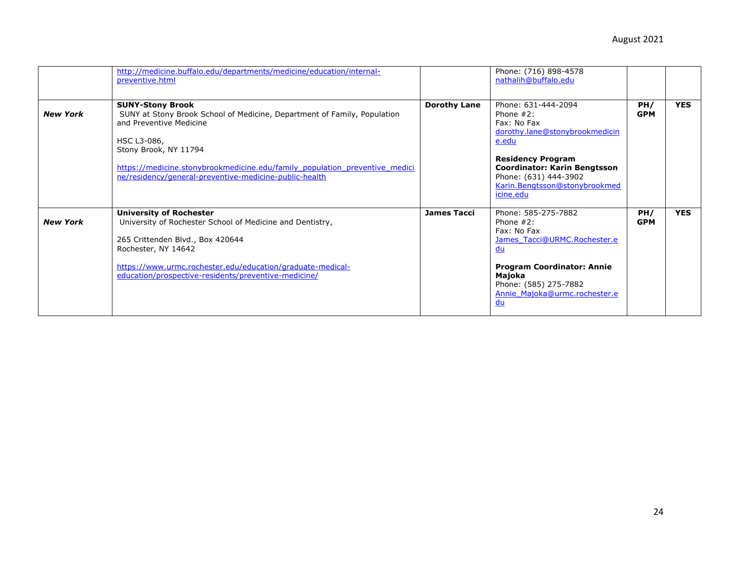|                 | http://medicine.buffalo.edu/departments/medicine/education/internal-<br>preventive.html                                                                                                                                                                                                                         |                     | Phone: (716) 898-4578<br>nathalih@buffalo.edu                                                                                                                                                                                    |                   |            |
|-----------------|-----------------------------------------------------------------------------------------------------------------------------------------------------------------------------------------------------------------------------------------------------------------------------------------------------------------|---------------------|----------------------------------------------------------------------------------------------------------------------------------------------------------------------------------------------------------------------------------|-------------------|------------|
| <b>New York</b> | <b>SUNY-Stony Brook</b><br>SUNY at Stony Brook School of Medicine, Department of Family, Population<br>and Preventive Medicine<br>HSC L3-086,<br>Stony Brook, NY 11794<br>https://medicine.stonybrookmedicine.edu/family population preventive medici<br>ne/residency/general-preventive-medicine-public-health | <b>Dorothy Lane</b> | Phone: 631-444-2094<br>Phone $#2$ :<br>Fax: No Fax<br>dorothy.lane@stonybrookmedicin<br>e.edu<br><b>Residency Program</b><br>Coordinator: Karin Bengtsson<br>Phone: (631) 444-3902<br>Karin.Bengtsson@stonybrookmed<br>icine.edu | PH/<br><b>GPM</b> | <b>YES</b> |
| <b>New York</b> | <b>University of Rochester</b><br>University of Rochester School of Medicine and Dentistry,<br>265 Crittenden Blvd., Box 420644<br>Rochester, NY 14642<br>https://www.urmc.rochester.edu/education/graduate-medical-<br>education/prospective-residents/preventive-medicine/                                    | <b>James Tacci</b>  | Phone: 585-275-7882<br>Phone $#2$ :<br>Fax: No Fax<br>James Tacci@URMC.Rochester.e<br>du<br><b>Program Coordinator: Annie</b><br>Majoka<br>Phone: (585) 275-7882<br>Annie Majoka@urmc.rochester.e<br><u>du</u>                   | PH/<br><b>GPM</b> | <b>YES</b> |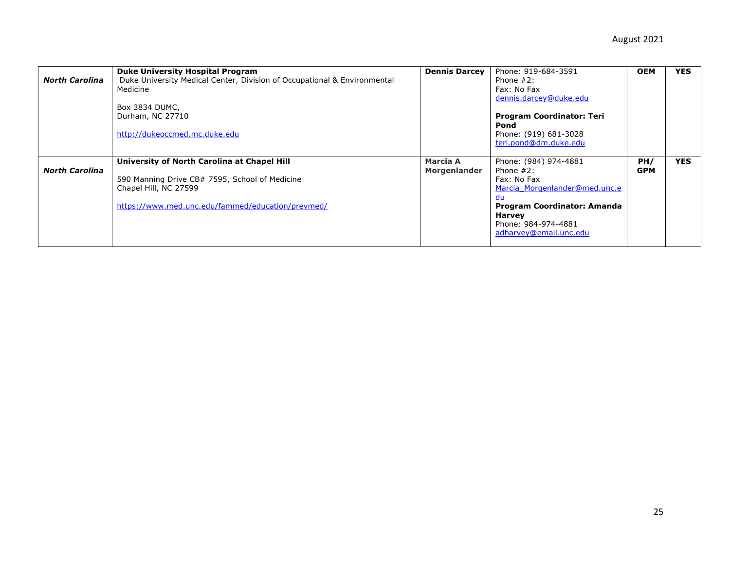|                       | <b>Duke University Hospital Program</b>                                  | <b>Dennis Darcey</b> | Phone: 919-684-3591                | <b>OEM</b> | <b>YES</b> |
|-----------------------|--------------------------------------------------------------------------|----------------------|------------------------------------|------------|------------|
| <b>North Carolina</b> | Duke University Medical Center, Division of Occupational & Environmental |                      | Phone $#2$ :                       |            |            |
|                       | Medicine                                                                 |                      | Fax: No Fax                        |            |            |
|                       |                                                                          |                      | dennis.darcey@duke.edu             |            |            |
|                       | Box 3834 DUMC,                                                           |                      |                                    |            |            |
|                       | Durham, NC 27710                                                         |                      | <b>Program Coordinator: Teri</b>   |            |            |
|                       |                                                                          |                      | Pond                               |            |            |
|                       | http://dukeoccmed.mc.duke.edu                                            |                      | Phone: (919) 681-3028              |            |            |
|                       |                                                                          |                      | teri.pond@dm.duke.edu              |            |            |
|                       |                                                                          |                      |                                    |            |            |
|                       | University of North Carolina at Chapel Hill                              | Marcia A             | Phone: (984) 974-4881              | PH/        | <b>YES</b> |
| <b>North Carolina</b> |                                                                          | Morgenlander         | Phone $#2$ :                       | <b>GPM</b> |            |
|                       | 590 Manning Drive CB# 7595, School of Medicine                           |                      | Fax: No Fax                        |            |            |
|                       | Chapel Hill, NC 27599                                                    |                      | Marcia Morgenlander@med.unc.e      |            |            |
|                       |                                                                          |                      |                                    |            |            |
|                       | https://www.med.unc.edu/fammed/education/prevmed/                        |                      | <b>Program Coordinator: Amanda</b> |            |            |
|                       |                                                                          |                      | <b>Harvey</b>                      |            |            |
|                       |                                                                          |                      | Phone: 984-974-4881                |            |            |
|                       |                                                                          |                      | adharvey@email.unc.edu             |            |            |
|                       |                                                                          |                      |                                    |            |            |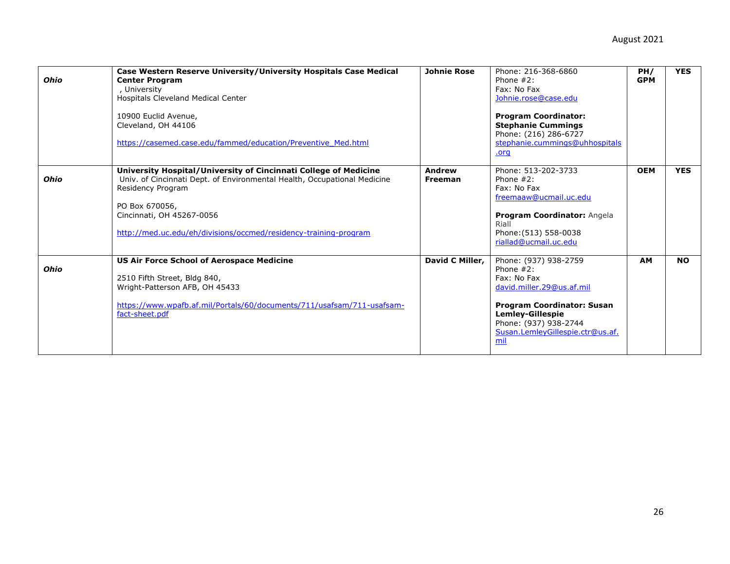| <b>Ohio</b> | Case Western Reserve University/University Hospitals Case Medical<br><b>Center Program</b><br>University<br>Hospitals Cleveland Medical Center<br>10900 Euclid Avenue,<br>Cleveland, OH 44106<br>https://casemed.case.edu/fammed/education/Preventive Med.html                       | <b>Johnie Rose</b>              | Phone: 216-368-6860<br>Phone $#2$ :<br>Fax: No Fax<br>Johnie.rose@case.edu<br><b>Program Coordinator:</b><br><b>Stephanie Cummings</b><br>Phone: (216) 286-6727<br>stephanie.cummings@uhhospitals<br>.org             | PH/<br><b>GPM</b> | <b>YES</b> |
|-------------|--------------------------------------------------------------------------------------------------------------------------------------------------------------------------------------------------------------------------------------------------------------------------------------|---------------------------------|-----------------------------------------------------------------------------------------------------------------------------------------------------------------------------------------------------------------------|-------------------|------------|
| <b>Ohio</b> | University Hospital/University of Cincinnati College of Medicine<br>Univ. of Cincinnati Dept. of Environmental Health, Occupational Medicine<br>Residency Program<br>PO Box 670056,<br>Cincinnati, OH 45267-0056<br>http://med.uc.edu/eh/divisions/occmed/residency-training-program | <b>Andrew</b><br><b>Freeman</b> | Phone: 513-202-3733<br>Phone $#2$ :<br>Fax: No Fax<br>freemaaw@ucmail.uc.edu<br>Program Coordinator: Angela<br>Riall<br>Phone: (513) 558-0038<br>riallad@ucmail.uc.edu                                                | <b>OEM</b>        | <b>YES</b> |
| <b>Ohio</b> | <b>US Air Force School of Aerospace Medicine</b><br>2510 Fifth Street, Bldg 840,<br>Wright-Patterson AFB, OH 45433<br>https://www.wpafb.af.mil/Portals/60/documents/711/usafsam/711-usafsam-<br>fact-sheet.pdf                                                                       | David C Miller,                 | Phone: (937) 938-2759<br>Phone $#2$ :<br>Fax: No Fax<br>david.miller.29@us.af.mil<br><b>Program Coordinator: Susan</b><br><b>Lemley-Gillespie</b><br>Phone: (937) 938-2744<br>Susan.LemleyGillespie.ctr@us.af.<br>mil | <b>AM</b>         | <b>NO</b>  |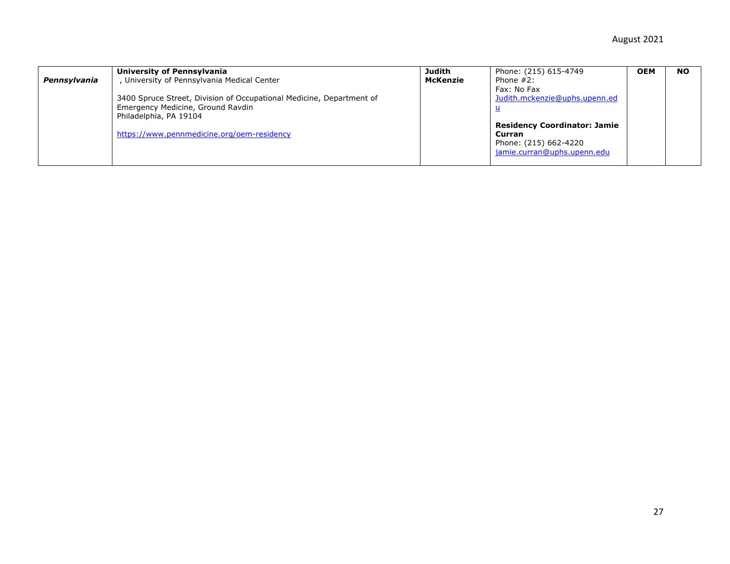| Pennsylvania | University of Pennsylvania<br>, University of Pennsylvania Medical Center<br>3400 Spruce Street, Division of Occupational Medicine, Department of<br>Emergency Medicine, Ground Ravdin<br>Philadelphia, PA 19104<br>https://www.pennmedicine.org/oem-residency | Judith<br>McKenzie | Phone: (215) 615-4749<br>Phone $#2$ :<br>Fax: No Fax<br>Judith.mckenzie@uphs.upenn.ed<br><b>Residency Coordinator: Jamie</b><br>Curran<br>Phone: (215) 662-4220<br>jamie.curran@uphs.upenn.edu | <b>OEM</b> | <b>NO</b> |
|--------------|----------------------------------------------------------------------------------------------------------------------------------------------------------------------------------------------------------------------------------------------------------------|--------------------|------------------------------------------------------------------------------------------------------------------------------------------------------------------------------------------------|------------|-----------|
|--------------|----------------------------------------------------------------------------------------------------------------------------------------------------------------------------------------------------------------------------------------------------------------|--------------------|------------------------------------------------------------------------------------------------------------------------------------------------------------------------------------------------|------------|-----------|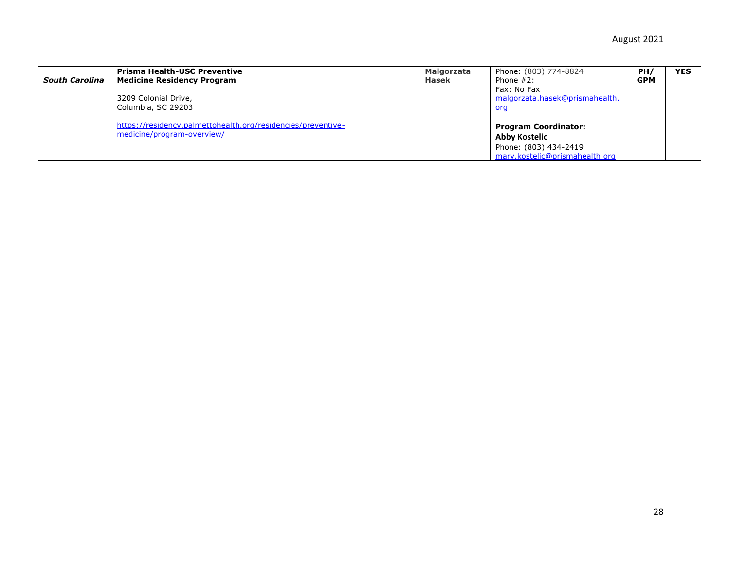| <b>South Carolina</b> | <b>Prisma Health-USC Preventive</b><br><b>Medicine Residency Program</b><br>3209 Colonial Drive,<br>Columbia, SC 29203 | <b>Malgorzata</b><br>Hasek | Phone: (803) 774-8824<br>Phone $#2$ :<br>Fax: No Fax<br>malgorzata.hasek@prismahealth.<br><u>org</u>    | PH/<br><b>GPM</b> | <b>YES</b> |
|-----------------------|------------------------------------------------------------------------------------------------------------------------|----------------------------|---------------------------------------------------------------------------------------------------------|-------------------|------------|
|                       | https://residency.palmettohealth.org/residencies/preventive-<br>medicine/program-overview/                             |                            | <b>Program Coordinator:</b><br>Abby Kostelic<br>Phone: (803) 434-2419<br>mary.kostelic@prismahealth.org |                   |            |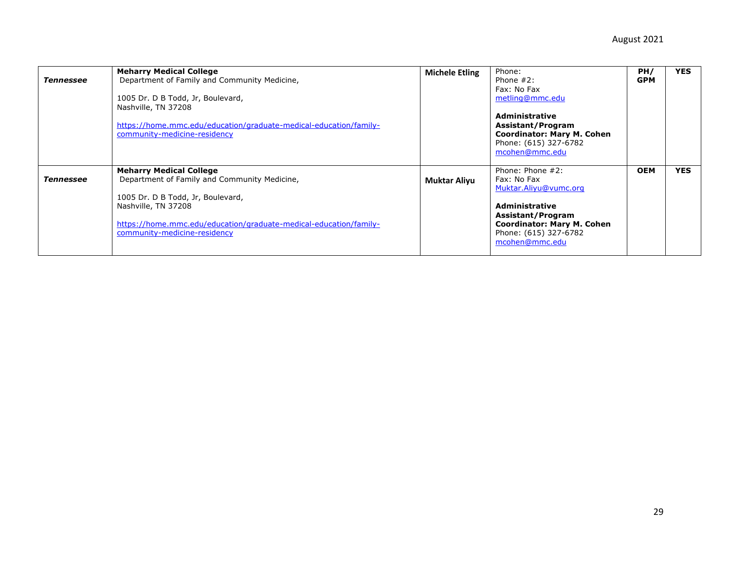| Tennessee | <b>Meharry Medical College</b><br>Department of Family and Community Medicine,<br>1005 Dr. D B Todd, Jr, Boulevard,<br>Nashville, TN 37208<br>https://home.mmc.edu/education/graduate-medical-education/family-<br>community-medicine-residency | <b>Michele Etling</b> | Phone:<br>Phone $#2$ :<br>Fax: No Fax<br>metling@mmc.edu<br><b>Administrative</b><br>Assistant/Program<br><b>Coordinator: Mary M. Cohen</b><br>Phone: (615) 327-6782<br>mcohen@mmc.edu | PH/<br><b>GPM</b> | <b>YES</b> |
|-----------|-------------------------------------------------------------------------------------------------------------------------------------------------------------------------------------------------------------------------------------------------|-----------------------|----------------------------------------------------------------------------------------------------------------------------------------------------------------------------------------|-------------------|------------|
| Tennessee | <b>Meharry Medical College</b><br>Department of Family and Community Medicine,<br>1005 Dr. D B Todd, Jr, Boulevard,<br>Nashville, TN 37208<br>https://home.mmc.edu/education/graduate-medical-education/family-<br>community-medicine-residency | <b>Muktar Aliyu</b>   | Phone: Phone #2:<br>Fax: No Fax<br>Muktar.Aliyu@vumc.org<br><b>Administrative</b><br>Assistant/Program<br><b>Coordinator: Mary M. Cohen</b><br>Phone: (615) 327-6782<br>mcohen@mmc.edu | <b>OEM</b>        | <b>YES</b> |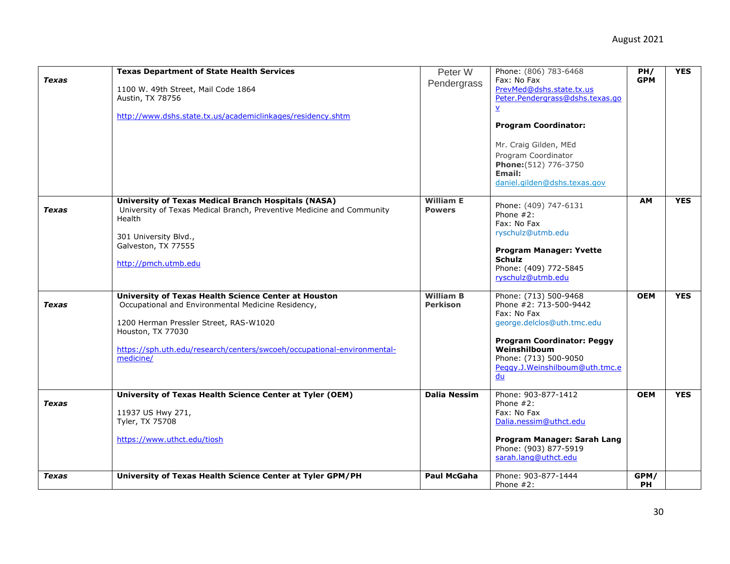|              | <b>Texas Department of State Health Services</b>                        |                     | Phone: (806) 783-6468             | PH/        | <b>YES</b> |
|--------------|-------------------------------------------------------------------------|---------------------|-----------------------------------|------------|------------|
| Texas        |                                                                         | Peter W             | Fax: No Fax                       | <b>GPM</b> |            |
|              |                                                                         | Pendergrass         | PrevMed@dshs.state.tx.us          |            |            |
|              | 1100 W. 49th Street, Mail Code 1864                                     |                     |                                   |            |            |
|              | Austin, TX 78756                                                        |                     | Peter.Pendergrass@dshs.texas.go   |            |            |
|              |                                                                         |                     | $\underline{v}$                   |            |            |
|              | http://www.dshs.state.tx.us/academiclinkages/residency.shtm             |                     |                                   |            |            |
|              |                                                                         |                     | <b>Program Coordinator:</b>       |            |            |
|              |                                                                         |                     |                                   |            |            |
|              |                                                                         |                     | Mr. Craig Gilden, MEd             |            |            |
|              |                                                                         |                     | Program Coordinator               |            |            |
|              |                                                                         |                     | Phone: (512) 776-3750             |            |            |
|              |                                                                         |                     | Email:                            |            |            |
|              |                                                                         |                     | daniel.gilden@dshs.texas.gov      |            |            |
|              |                                                                         |                     |                                   |            |            |
|              | <b>University of Texas Medical Branch Hospitals (NASA)</b>              | <b>William E</b>    |                                   | <b>AM</b>  | <b>YES</b> |
| <b>Texas</b> | University of Texas Medical Branch, Preventive Medicine and Community   | <b>Powers</b>       | Phone: (409) 747-6131             |            |            |
|              | Health                                                                  |                     | Phone $#2$ :                      |            |            |
|              |                                                                         |                     | Fax: No Fax                       |            |            |
|              | 301 University Blvd.,                                                   |                     | ryschulz@utmb.edu                 |            |            |
|              | Galveston, TX 77555                                                     |                     |                                   |            |            |
|              |                                                                         |                     | <b>Program Manager: Yvette</b>    |            |            |
|              | http://pmch.utmb.edu                                                    |                     | <b>Schulz</b>                     |            |            |
|              |                                                                         |                     | Phone: (409) 772-5845             |            |            |
|              |                                                                         |                     | ryschulz@utmb.edu                 |            |            |
|              |                                                                         |                     |                                   |            |            |
|              | University of Texas Health Science Center at Houston                    | <b>William B</b>    | Phone: (713) 500-9468             | <b>OEM</b> | <b>YES</b> |
| Texas        | Occupational and Environmental Medicine Residency,                      | <b>Perkison</b>     | Phone #2: 713-500-9442            |            |            |
|              |                                                                         |                     | Fax: No Fax                       |            |            |
|              | 1200 Herman Pressler Street, RAS-W1020                                  |                     | george.delclos@uth.tmc.edu        |            |            |
|              | Houston, TX 77030                                                       |                     |                                   |            |            |
|              |                                                                         |                     | <b>Program Coordinator: Peggy</b> |            |            |
|              | https://sph.uth.edu/research/centers/swcoeh/occupational-environmental- |                     | Weinshilboum                      |            |            |
|              | medicine/                                                               |                     | Phone: (713) 500-9050             |            |            |
|              |                                                                         |                     | Peggy.J.Weinshilboum@uth.tmc.e    |            |            |
|              |                                                                         |                     | du                                |            |            |
|              |                                                                         |                     |                                   |            |            |
|              | University of Texas Health Science Center at Tyler (OEM)                | <b>Dalia Nessim</b> | Phone: 903-877-1412               | <b>OEM</b> | <b>YES</b> |
| Texas        |                                                                         |                     | Phone $#2$ :                      |            |            |
|              | 11937 US Hwy 271,                                                       |                     | Fax: No Fax                       |            |            |
|              | Tyler, TX 75708                                                         |                     | Dalia.nessim@uthct.edu            |            |            |
|              |                                                                         |                     |                                   |            |            |
|              | https://www.uthct.edu/tiosh                                             |                     | Program Manager: Sarah Lang       |            |            |
|              |                                                                         |                     | Phone: (903) 877-5919             |            |            |
|              |                                                                         |                     | sarah.lang@uthct.edu              |            |            |
|              |                                                                         |                     |                                   |            |            |
| <b>Texas</b> | University of Texas Health Science Center at Tyler GPM/PH               | <b>Paul McGaha</b>  | Phone: 903-877-1444               | GPM/       |            |
|              |                                                                         |                     | Phone $#2$ :                      | PH         |            |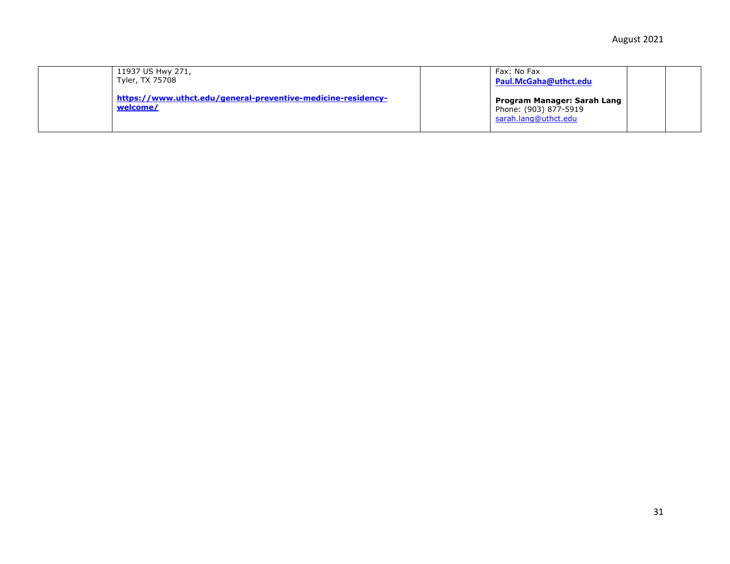| 11937 US Hwy 271,<br>Tyler, TX 75708 |                                                              | Fax: No Fax<br>Paul.McGaha@uthct.edu                                         |  |
|--------------------------------------|--------------------------------------------------------------|------------------------------------------------------------------------------|--|
| welcome/                             | https://www.uthct.edu/general-preventive-medicine-residency- | Program Manager: Sarah Lang<br>Phone: (903) 877-5919<br>sarah.lang@uthct.edu |  |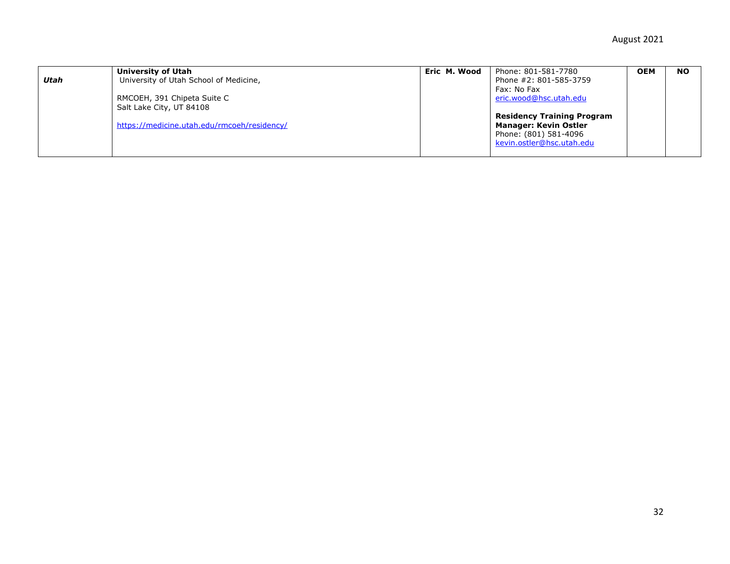| Utah | University of Utah<br>University of Utah School of Medicine,                                           | Eric M. Wood | Phone: 801-581-7780<br>Phone #2: 801-585-3759                                                                                                                    | <b>OEM</b> | <b>NO</b> |
|------|--------------------------------------------------------------------------------------------------------|--------------|------------------------------------------------------------------------------------------------------------------------------------------------------------------|------------|-----------|
|      | RMCOEH, 391 Chipeta Suite C<br>Salt Lake City, UT 84108<br>https://medicine.utah.edu/rmcoeh/residency/ |              | Fax: No Fax<br>eric.wood@hsc.utah.edu<br><b>Residency Training Program</b><br><b>Manager: Kevin Ostler</b><br>Phone: (801) 581-4096<br>kevin.ostler@hsc.utah.edu |            |           |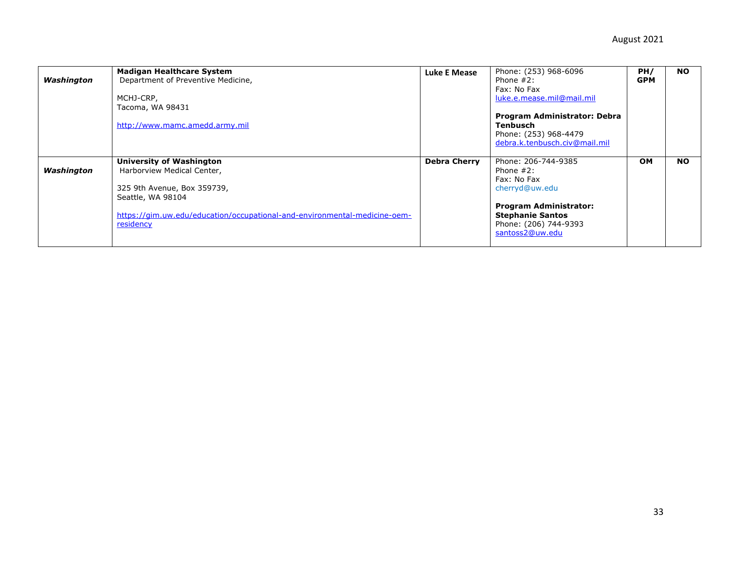| Washington | <b>Madigan Healthcare System</b><br>Department of Preventive Medicine,<br>MCHJ-CRP,<br>Tacoma, WA 98431<br>http://www.mamc.amedd.army.mil                                                                   | <b>Luke E Mease</b> | Phone: (253) 968-6096<br>Phone $#2$ :<br>Fax: No Fax<br>luke.e.mease.mil@mail.mil<br>Program Administrator: Debra<br>Tenbusch<br>Phone: (253) 968-4479<br>debra.k.tenbusch.civ@mail.mil | PH/<br><b>GPM</b> | <b>NO</b> |
|------------|-------------------------------------------------------------------------------------------------------------------------------------------------------------------------------------------------------------|---------------------|-----------------------------------------------------------------------------------------------------------------------------------------------------------------------------------------|-------------------|-----------|
| Washington | <b>University of Washington</b><br>Harborview Medical Center,<br>325 9th Avenue, Box 359739,<br>Seattle, WA 98104<br>https://gim.uw.edu/education/occupational-and-environmental-medicine-oem-<br>residency | <b>Debra Cherry</b> | Phone: 206-744-9385<br>Phone $#2$ :<br>Fax: No Fax<br>cherryd@uw.edu<br><b>Program Administrator:</b><br><b>Stephanie Santos</b><br>Phone: (206) 744-9393<br>santoss2@uw.edu            | <b>OM</b>         | <b>NO</b> |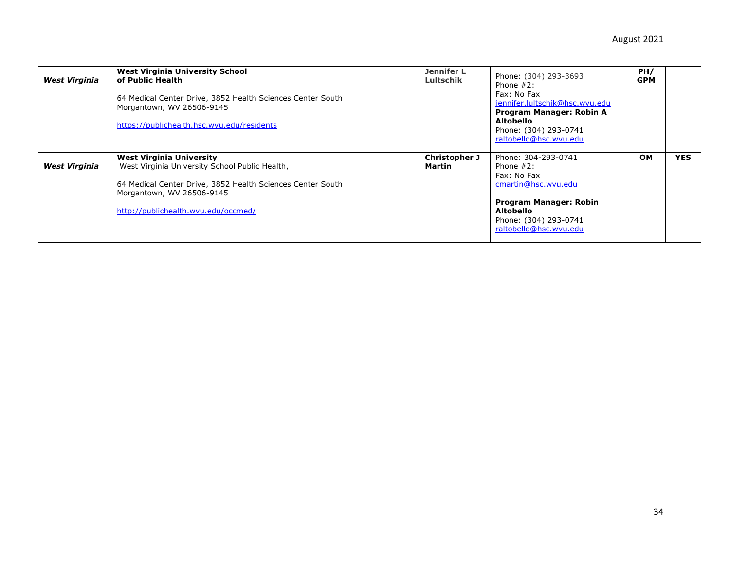| <b>West Virginia</b> | <b>West Virginia University School</b><br>of Public Health<br>64 Medical Center Drive, 3852 Health Sciences Center South<br>Morgantown, WV 26506-9145<br>https://publichealth.hsc.wvu.edu/residents                 | <b>Jennifer L</b><br>Lultschik | Phone: (304) 293-3693<br>Phone $#2$ :<br>Fax: No Fax<br>jennifer.lultschik@hsc.wvu.edu<br>Program Manager: Robin A<br>Altobello<br>Phone: (304) 293-0741<br>raltobello@hsc.wvu.edu | PH/<br><b>GPM</b> |            |
|----------------------|---------------------------------------------------------------------------------------------------------------------------------------------------------------------------------------------------------------------|--------------------------------|------------------------------------------------------------------------------------------------------------------------------------------------------------------------------------|-------------------|------------|
| <b>West Virginia</b> | <b>West Virginia University</b><br>West Virginia University School Public Health,<br>64 Medical Center Drive, 3852 Health Sciences Center South<br>Morgantown, WV 26506-9145<br>http://publichealth.wvu.edu/occmed/ | Christopher J<br>Martin        | Phone: 304-293-0741<br>Phone $#2$ :<br>Fax: No Fax<br>cmartin@hsc.wvu.edu<br>Program Manager: Robin<br>Altobello<br>Phone: (304) 293-0741<br>raltobello@hsc.wvu.edu                | <b>OM</b>         | <b>YES</b> |